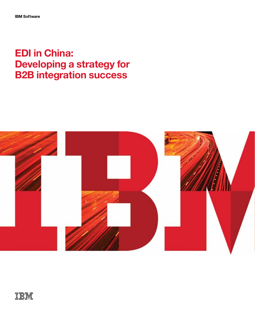# **EDI in China: Developing a strategy for B2B integration success**



TBM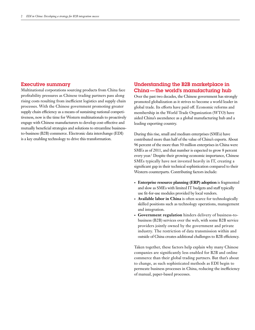#### Executive summary

Multinational corporations sourcing products from China face profitability pressures as Chinese trading partners pass along rising costs resulting from inefficient logistics and supply chain processes. With the Chinese government promoting greater supply chain efficiency as a means of sustaining national competitiveness, now is the time for Western multinationals to proactively engage with Chinese manufacturers to develop cost-effective and mutually beneficial strategies and solutions to streamline businessto-business (B2B) commerce. Electronic data interchange (EDI) is a key enabling technology to drive this transformation.

# Understanding the B2B marketplace in China—the world's manufacturing hub

Over the past two decades, the Chinese government has strongly promoted globalization as it strives to become a world leader in global trade. Its efforts have paid off. Economic reforms and membership in the World Trade Organization (WTO) have aided China's ascendance as a global manufacturing hub and a leading exporting country.

During this rise, small and medium enterprises (SMEs) have contributed more than half of the value of China's exports. About 96 percent of the more than 50 million enterprises in China were SMEs as of 2011, and that number is expected to grow 8 percent every year.1 Despite their growing economic importance, Chinese SMEs typically have not invested heavily in IT, creating a significant gap in their technical sophistication compared to their Western counterparts. Contributing factors include:

- **• Enterprise resource planning (ERP) adoption** is fragmented and slow as SMEs with limited IT budgets and staff typically use fit-for-use modules provided by local vendors.
- **• Available labor in China** is often scarce for technologically skilled positions such as technology operations, management and integration.
- **• Government regulation** hinders delivery of business-tobusiness (B2B) services over the web, with some B2B service providers jointly owned by the government and private industry. The restriction of data transmission within and outside of China creates additional challenges to B2B efficiency.

Taken together, these factors help explain why many Chinese companies are significantly less enabled for B2B and online commerce than their global trading partners. But that's about to change, as such sophisticated methods as EDI begin to permeate business processes in China, reducing the inefficiency of manual, paper-based processes.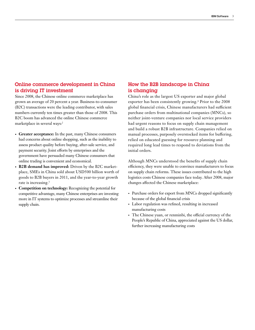# Online commerce development in China is driving IT investment

Since 2008, the Chinese online commerce marketplace has grown an average of 20 percent a year. Business-to-consumer (B2C) transactions were the leading contributor, with sales numbers currently ten times greater than those of 2008. This B2C boom has advanced the online Chinese commerce marketplace in several ways:<sup>2</sup>

- **• Greater acceptance:** In the past, many Chinese consumers had concerns about online shopping, such as the inability to assess product quality before buying, after-sale service, and payment security. Joint efforts by enterprises and the government have persuaded many Chinese consumers that online trading is convenient and economical.
- **• B2B demand has improved:** Driven by the B2C marketplace, SMEs in China sold about USD500 billion worth of goods to B2B buyers in 2011, and the year-to-year growth rate is increasing.<sup>3</sup>
- **• Competition on technology:** Recognizing the potential for competitive advantage, many Chinese enterprises are investing more in IT systems to optimize processes and streamline their supply chain.

# How the B2B landscape in China is changing

China's role as the largest US exporter and major global exporter has been consistently growing.<sup>4</sup> Prior to the 2008 global financial crisis, Chinese manufacturers had sufficient purchase orders from multinational companies (MNCs), so neither joint-venture companies nor local service providers had urgent reasons to focus on supply chain management and build a robust B2B infrastructure. Companies relied on manual processes, purposely overstocked items for buffering, relied on educated guessing for resource planning and required long lead times to respond to deviations from the initial orders.

Although MNCs understood the benefits of supply chain efficiency, they were unable to convince manufacturers to focus on supply chain reforms. These issues contributed to the high logistics costs Chinese companies face today. After 2008, major changes affected the Chinese marketplace:

- Purchase orders for export from MNCs dropped significantly because of the global financial crisis
- • Labor regulation was refined, resulting in increased manufacturing costs
- The Chinese yuan, or renminbi, the official currency of the People's Republic of China, appreciated against the US dollar, further increasing manufacturing costs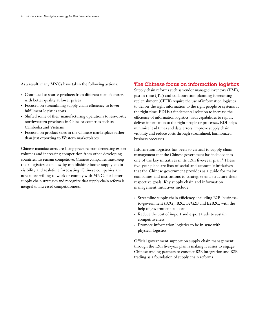As a result, many MNCs have taken the following actions:

- • Continued to source products from different manufacturers with better quality at lower prices
- Focused on streamlining supply chain efficiency to lower fulfillment logistics costs
- • Shifted some of their manufacturing operations to less-costly northwestern provinces in China or countries such as Cambodia and Vietnam
- • Focused on product sales in the Chinese marketplace rather than just exporting to Western marketplaces

Chinese manufacturers are facing pressure from decreasing export volumes and increasing competition from other developing countries. To remain competitive, Chinese companies must keep their logistics costs low by establishing better supply chain visibility and real-time forecasting. Chinese companies are now more willing to work or comply with MNCs for better supply chain strategies and recognize that supply chain reform is integral to increased competitiveness.

#### The Chinese focus on information logistics

Supply chain reforms such as vendor managed inventory (VMI), just in time (JIT) and collaboration planning forecasting replenishment (CPFR) require the use of information logistics to deliver the right information to the right people or systems at the right time. EDI is a fundamental solution to increase the efficiency of information logistics, with capabilities to rapidly deliver information to the right people or processes. EDI helps minimize lead times and data errors, improve supply chain visibility and reduce costs through streamlined, harmonized business processes.

Information logistics has been so critical to supply chain management that the Chinese government has included it as one of the key initiatives in its 12th five-year plan.5 These five-year plans are lists of social and economic initiatives that the Chinese government provides as a guide for major companies and institutions to strategize and structure their respective goals. Key supply chain and information management initiatives include:

- Streamline supply chain efficiency, including B2B, businessto-government (B2G), B2C, B2G2B and B2B2C, with the help of government support
- Reduce the cost of import and export trade to sustain competitiveness
- Promote information logistics to be in sync with physical logistics

Official government support on supply chain management through the 12th five-year plan is making it easier to engage Chinese trading partners to conduct B2B integration and B2B trading as a foundation of supply chain reforms.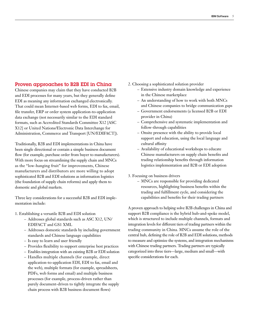#### Proven approaches to B2B EDI in China

Chinese companies may claim that they have conducted B2B and EDI processes for many years, but they generally define EDI as meaning any information exchanged electronically. That could mean Internet-based web forms, EDI to fax, email, file transfer, ERP or order system application-to-application data exchange (not necessarily similar to the EDI standard formats, such as Accredited Standards Committee X12 [ASC X12] or United Nations/Electronic Data Interchange for Administration, Commerce and Transport [UN/EDIFACT]).

Traditionally, B2B and EDI implementations in China have been single directional or contain a simple business document flow (for example, purchase order from buyer to manufacturers). With more focus on streamlining the supply chain and MNCs as the "low-hanging fruit" for improvements, Chinese manufacturers and distributors are more willing to adopt sophisticated B2B and EDI solutions as information logistics (the foundation of supply chain reforms) and apply them to domestic and global markets.

Three key considerations for a successful B2B and EDI implementation include:

- 1. Establishing a versatile B2B and EDI solution
	- Addresses global standards such as ASC X12, UN/ EDIFACT and GS1 XML
	- Addresses domestic standards by including government standards and Chinese language capabilities
	- Is easy to learn and user friendly
	- Provides flexibility to support enterprise best practices
	- Enables integration with an existing B2B or EDI solution
	- Handles multiple channels (for example, direct application-to-application EDI, EDI to fax, email and the web), multiple formats (for example, spreadsheets, PDFs, web forms and email) and multiple business processes (for example, process-driven rather than purely document-driven to tightly integrate the supply chain process with B2B business document flows)
- 2. Choosing a sophisticated solution provider
	- Extensive industry domain knowledge and experience in the Chinese marketplace
	- An understanding of how to work with both MNCs and Chinese companies to bridge communication gaps
	- Government endorsements (a licensed B2B or EDI provider in China)
	- Comprehensive and systematic implementation and follow-through capabilities
	- Onsite presence with the ability to provide local support and education, using the local language and cultural affinity
	- Availability of educational workshops to educate Chinese manufacturers on supply chain benefits and trading relationship benefits through information logistics implementation and B2B or EDI adoption

3. Focusing on business drivers

– MNCs are responsible for providing dedicated resources, highlighting business benefits within the trading and fulfillment cycle, and considering the capabilities and benefits for their trading partners

A proven approach to helping solve B2B challenges in China and support B2B compliance is the hybrid hub-and-spoke model, which is structured to include multiple channels, formats and integration levels for different tiers of trading partners within the trading community in China. MNCs assume the role of the central hub, defining the role of B2B and EDI solutions, methods to measure and optimize the systems, and integration mechanisms with Chinese trading partners. Trading partners are typically categorized into three tiers—large, medium and small—with specific considerations for each.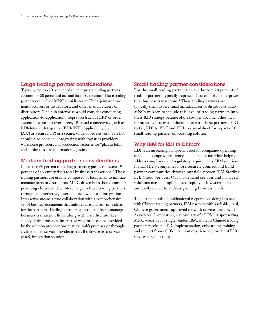#### Large trading partner considerations

Typically the top 20 percent of an enterprise's trading partners account for 80 percent of its total business volume.<sup>6</sup> These trading partners can include MNC subsidiaries in China, joint-venture manufacturers or distributors, and other manufacturers or distributors. The hub enterprise would consider conducting application-to-application integration (such as ERP or order system integration) over direct, IP-based connectivity (such as EDI-Internet Integration [EDI-INT], Applicability Statement 2 [AS2] or Secure FTP) or a secure, value-added network. The hub should also consider integrating with logistics providers, warehouse providers and production factories for "plan to fulfill" and "order to sales" information logistics.

#### Medium trading partner considerations

In this tier, 60 percent of trading partners typically represent 19 percent of an enterprise's total business transactions.7 These trading partners are usually composed of local small to midsize manufacturers or distributors. MNC-driven hubs should consider providing electronic data interchange to these trading partners through an interactive, Internet-based web form integration. Interactive means a true collaboration with a comprehensive set of business documents that hubs require and real-time alerts for the partners. Trading partners gain the ability to manage business transaction flows along with visibility into key supply chain processes. Interactive web forms can be provided by the solution provider onsite at the hub's premises or through a value-added service provider as a B2B software-as-a-service (SaaS) integration solution.

#### Small trading partner considerations

For the small trading partner tier, the bottom 20 percent of trading partners typically represent 1 percent of an enterprise's total business transactions.8 These trading partners are typically small to very small manufacturers or distributors. Hub MNCs are keen to include this level of trading partners into their B2B strategy because of the cost per document they incur for manually processing documents with these partners. EDI to fax, EDI to PDF and EDI to spreadsheet form part of the small trading partner onboarding solution.

### Why IBM for EDI in China?

EDI is an increasingly important tool for companies operating in China to improve efficiency and collaboration while helping address compliance and regulatory requirements. IBM solutions for EDI help companies more securely connect and build partner communities through our field-proven IBM Sterling B2B Cloud Services. Our on-demand services and managed solutions may be implemented rapidly at low startup costs and easily scaled to address growing business needs.

To meet the needs of multinational corporations doing business with Chinese trading partners, IBM partners with a reliable, local, Chinese government-approved network services vendor, IT Associates Corporation, a subsidiary of eCOM. A sponsoring MNC works with a single vendor, IBM, while its Chinese trading partners receive full EDI implementation, onboarding, training and support from eCOM, the most experienced provider of B2B services in China today.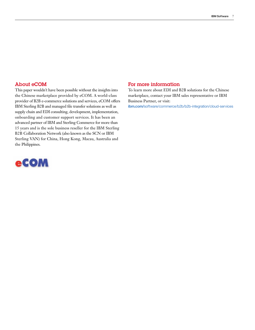## About eCOM

This paper wouldn't have been possible without the insights into the Chinese marketplace provided by eCOM. A world-class provider of B2B e-commerce solutions and services, eCOM offers IBM Sterling B2B and managed file transfer solutions as well as supply chain and EDI consulting, development, implementation, onboarding and customer support services. It has been an advanced partner of IBM and Sterling Commerce for more than 15 years and is the sole business reseller for the IBM Sterling B2B Collaboration Network (also known as the SCN or IBM Sterling VAN) for China, Hong Kong, Macau, Australia and the Philippines.



## For more information

To learn more about EDI and B2B solutions for the Chinese marketplace, contact your IBM sales representative or IBM Business Partner, or visit:

**ibm.com/**[software/commerce/b2b/b2b-integration/cloud-services](http://www.ibm.com/software/commerce/b2b/b2b-integration/cloud-services
)